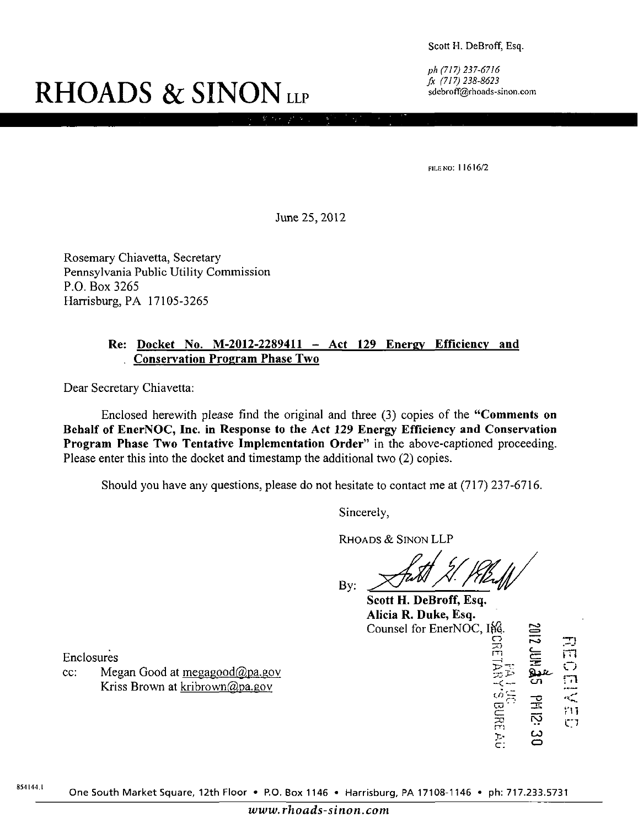Scott H. DeBroff, Esq.

ph (717) 237-6716 fx (717)238-8623 sdebroff@rhoads-sinon.com

# **RHOADS & SINON LLP**

FILE NO: 11616/2

June 25,2012

Rosemary Chiavetta, Secretary Pennsylvania Public Utility Commission P.O. Box 3265 Harrisburg, PA 17105-3265

#### **Re: Docket No. M-2012-2289411 - Act 129 Energy Efficiency and . Conservation Program Phase Two**

Dear Secretary Chiavetta:

Enclosed herewith please find the original and three (3) copies of the "Comments on Behalf of EnerNOC, Inc. in Response to the Act 129 Energy Efficiency and Conservation Program Phase Two Tentative Implementation Order" in the above-captioned proceeding. Please enter this into the docket and timestamp the additional two (2) copies.

Should you have any questions, please do not hesitate to contact me at (717) 237-6716.

Sincerely,

RHOADS & SINON LLP

By:

Scott H. DeBroff, Esq. Alicia R. Duke, Esq. Counsel for EnerNOC, ifg.

m

 **'**  늇 m  $\mathbb{C}^{\times}$  $\subset$  :

 $\mathbf{r}$ 

רב<br>ה

rn

 $\mathcal{C}$  $\mathbb{C}$ 

 $\boldsymbol{\omega}$ o

**121 kd** 

Enclosures

cc: Megan Good at megagood $@$ pa.gov Kriss Brown at kribrown@pa.gov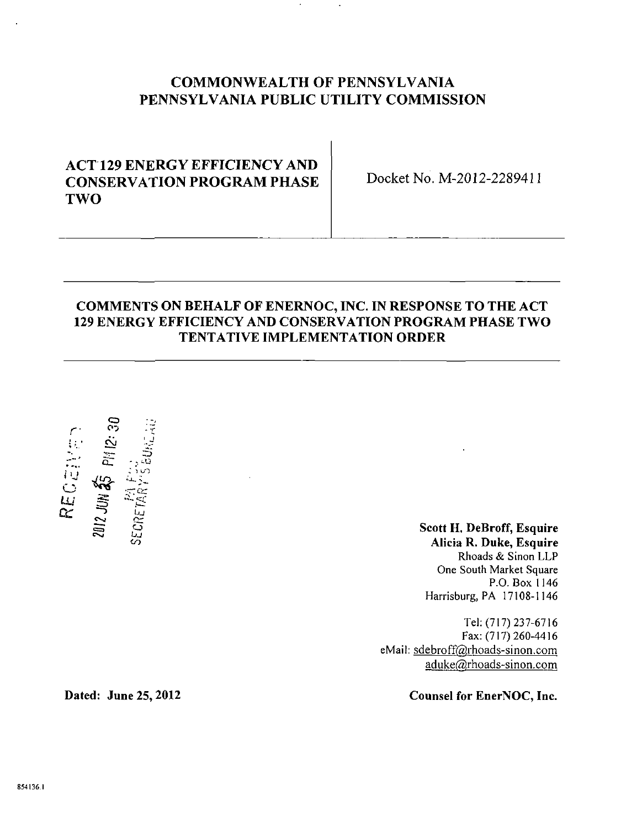## **COMMONWEALTH OF PENNSYLVANIA PENNSYLVANIA PUBLIC UTILITY COMMISSION**

# **ACT 129 ENERGY EFFICIENCY AND CONSERVATION PROGRAM PHASE TWO**

**Docket No. M-2012-2289411** 

## **COMMENTS ON BEHALF OF ENERNOC, INC. IN RESPONSE TO THE ACT 129 ENERGY EFFICIENCY AND CONSERVATION PROGRAM PHASE TWO TENTATIVE IMPLEMENTATION ORDER**



**Scott H. DeBroff, Esquire Alicia R. Duke, Esquire**  Rhoads & Sinon LLP One South Market Square P.O. Box 1146 Harrisburg, PA 17108-1146

Tel: (717) 237-6716 Fax: (717) 260-4416 eMail: sdebroff@rhoads-sinon.com aduke@rhoads-sinon.com

Dated: June 25, 2012 Counsel for EnerNOC, Inc.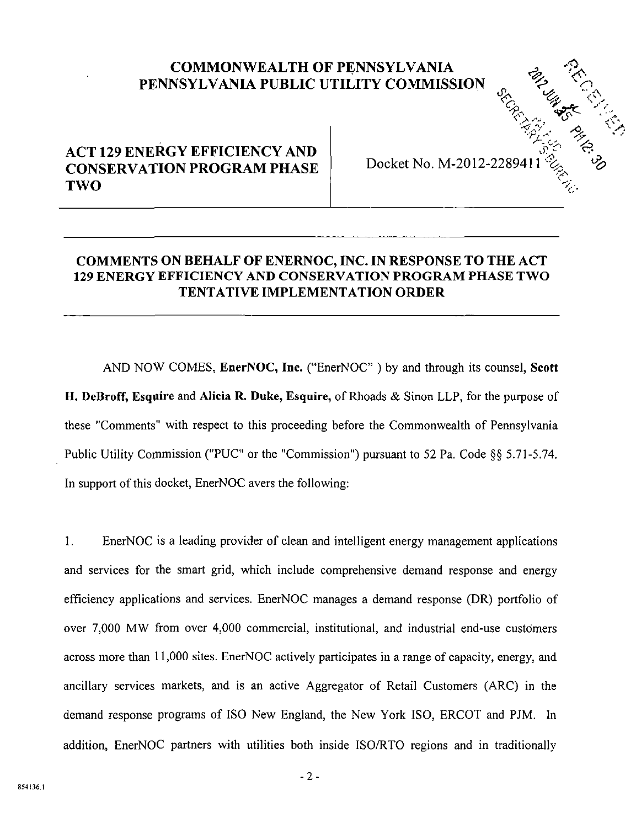# **COMMONWEALTH OF PENNSYLVANIA** *PENNSYLVANIA PUBLIC UTILITY COMMISSION n <\* ^*

# **A C T 129 ENERGY EFFICIENCY AND CONSERVATION PROGRAM PHASE T WO**

Docket No. M-2012-228941

 $V^*_{\infty}$   $V^*_{\infty}$ 

 $\sim$ 

## **COMMENTS ON BEHALF OF ENERNOC, INC. IN RESPONSE TO THE ACT 129 ENERGY EFFICIENCY AND CONSERVATION PROGRAM PHASE TWO TENTATIVE IMPLEMENTATION ORDER**

**AND NOW COMES, EnerNOC, Inc. ("EnerNOC" ) by and through its counsel, Scott**  H. DeBroff, Esquire and Alicia R. Duke, Esquire, of Rhoads & Sinon LLP, for the purpose of these "Comments" with respect to this proceeding before the Commonwealth of Pennsylvania Public Utility Commission ("PUC" or the "Commission") pursuant to 52 Pa. Code §§ 5.71-5.74. In support of this docket, EnerNOC avers the following:

I. EnerNOC is a leading provider of clean and intelligent energy management applications and services for the smart grid, which include comprehensive demand response and energy efficiency applications and services. EnerNOC manages a demand response (DR) portfolio of over 7,000 MW from over 4,000 commercial, institutional, and industrial end-use customers across more than 11,000 sites. EnerNOC actively participates in a range of capacity, energy, and ancillary services markets, and is an active Aggregator of Retail Customers (ARC) in the demand response programs of ISO New England, the New York ISO, ERCOT and PJM. In addition, EnerNOC partners with utilities both inside ISO/RTO regions and in traditionally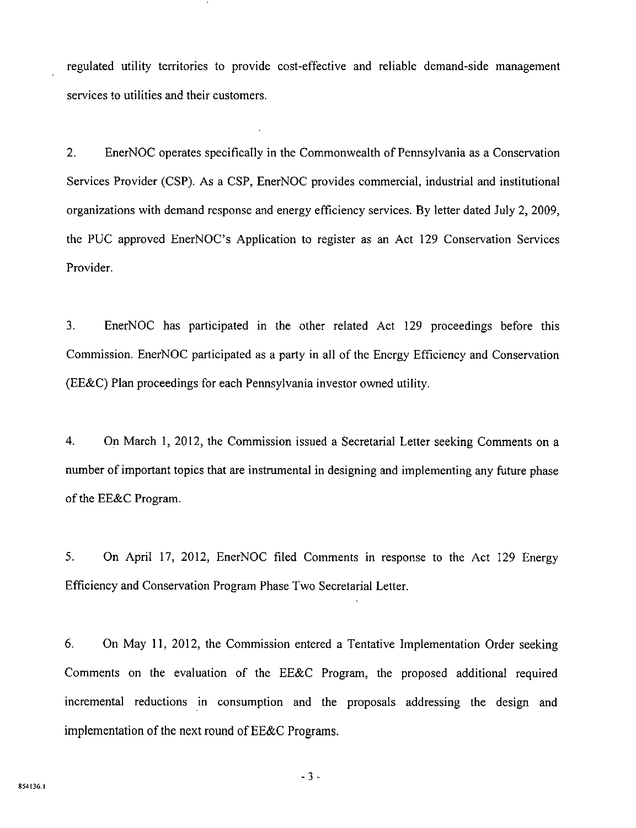regulated utility territories to provide cost-effective and reliable demand-side management services to utilities and their customers.

2. EnerNOC operates specifically in the Commonwealth of Pennsylvania as a Conservation Services Provider (CSP). As a CSP, EnerNOC provides commercial, industrial and institutional organizations with demand response and energy efficiency services. By letter dated July 2, 2009, the PUC approved EnerNOC's Application to register as an Act 129 Conservation Services Provider.

3. EnerNOC has participated in the other related Act 129 proceedings before this Commission. EnerNOC participated as a party in all of the Energy Efficiency and Conservation (EE&C) Plan proceedings for each Pennsylvania investor owned utility.

4. On March 1, 2012, the Commission issued a Secretarial Letter seeking Comments on a number of important topics that are instrumental in designing and implementing any future phase of the EE&C Program.

5. On April 17, 2012, EnerNOC filed Comments in response to the Act 129 Energy Efficiency and Conservation Program Phase Two Secretarial Letter.

6. On May 11, 2012, the Commission entered a Tentative Implementation Order seeking Comments on the evaluation of the EE&C Program, the proposed additional required incremental reductions in consumption and the proposals addressing the design and implementation of the next round of EE&C Programs.

-3 -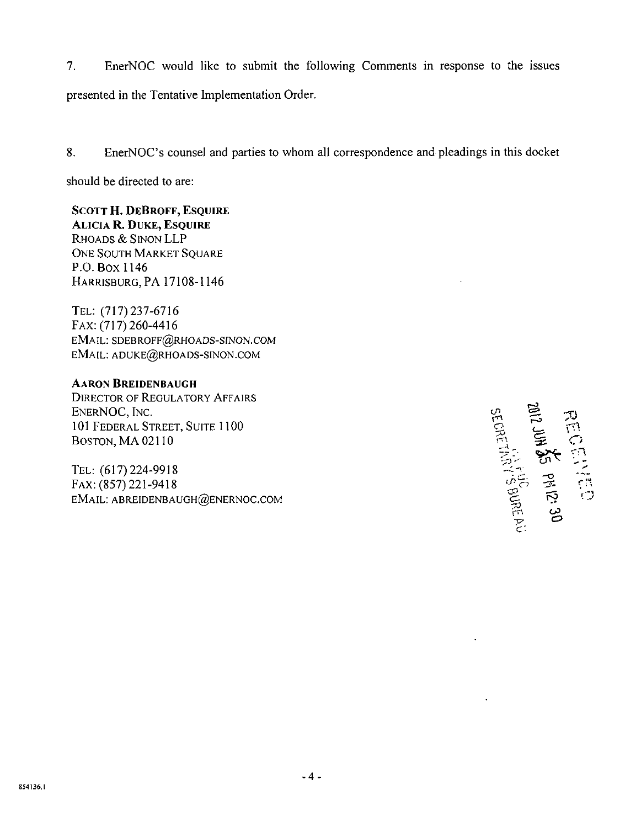7. EnerNOC would like to submit the following Comments in response to the issues presented in the Tentative Implementation Order.

8. EnerNOC's counsel and parties to whom all correspondence and pleadings in this docket

should be directed to are:

**SCOTT H. DEBROFF, ESQUIRE ALICIA R. DUKE, ESQUIRE** 

RHOADS & SINON LLP ONE SOUTH MARKET SQUARE P.O.Box 1146 HARRISBURG, PA 17108-1146

TEL: (717)237-6716 FAX: (717) 260-4416 EMAIL: SDEBROFF@RHOADS-SINON.COM EMAIL: ADUKE@RHOADS-SINON.COM

#### **AARON BREIDENBAUGH**

DIRECTOR OF REGULATORY AFFAIRS ENERNOC, INC.  $\mathcal{L} = \mathcal{L}$ 101 FEDERAL STREET, SUITE 1100 BOSTON, MA 02110  $\Box$ 

TEL: (617)224-9918 FAX: (857) 221-9418 EMAIL: ABREIDENBAUGH@ENERNOC.COM ^

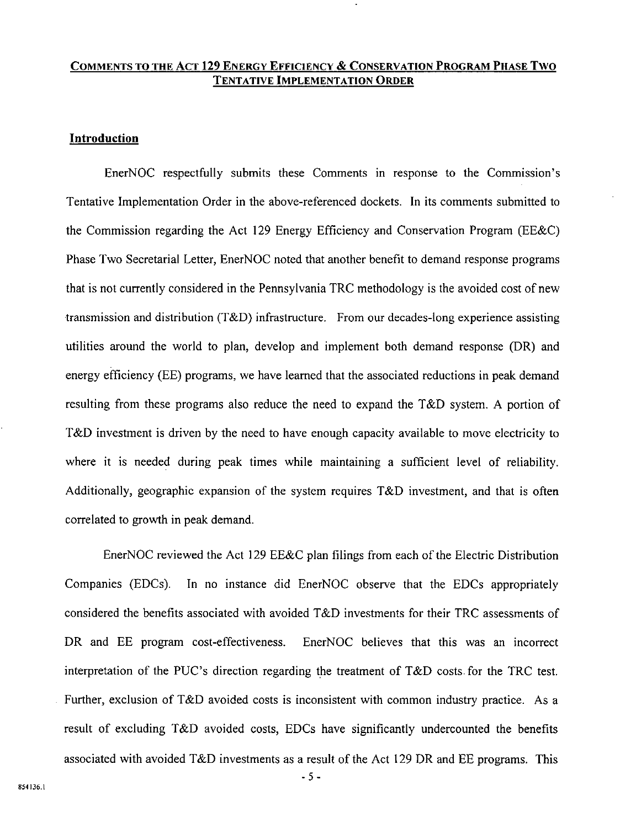#### COMMENTS TO THE ACT 129 ENERGY EFFICIENCY & CONSERVATION PROGRAM PHASE TWO TENTATIVE IMPLEMENTATION ORDER

#### Introduction

EnerNOC respectfully submits these Comments in response to the Commission's Tentative Implementation Order in the above-referenced dockets. In its comments submitted to the Commission regarding the Act 129 Energy Efficiency and Conservation Program (EE&C) Phase Two Secretarial Letter, EnerNOC noted that another benefit to demand response programs that is not currently considered in the Pennsylvania TRC methodology is the avoided cost of new transmission and distribution (T&D) infrastructure. From our decades-long experience assisting utilities around the world to plan, develop and implement both demand response (DR) and energy efficiency (EE) programs, we have learned that the associated reductions in peak demand resulting from these programs also reduce the need to expand the T&D system. A portion of T&D investment is driven by the need to have enough capacity available to move electricity to where it is needed during peak times while maintaining a sufficient level of reliability. Additionally, geographic expansion of the system requires T&D investment, and that is often correlated to growth in peak demand.

EnerNOC reviewed the Act 129 EE&C plan filings from each of the Electric Distribution Companies (EDCs). In no instance did EnerNOC observe that the EDCs appropriately considered the benefits associated with avoided T&D investments for their TRC assessments of DR and EE program cost-effectiveness. EnerNOC believes that this was an incorrect interpretation of the PUC's direction regarding the treatment of T&D costs, for the TRC test. Further, exclusion of T&D avoided costs is inconsistent with common industry practice. As a result of excluding T&D avoided costs, EDCs have significantly undercounted the benefits associated with avoided T&D investments as a result of the Act 129 DR and EE programs. This

-5-

854136.1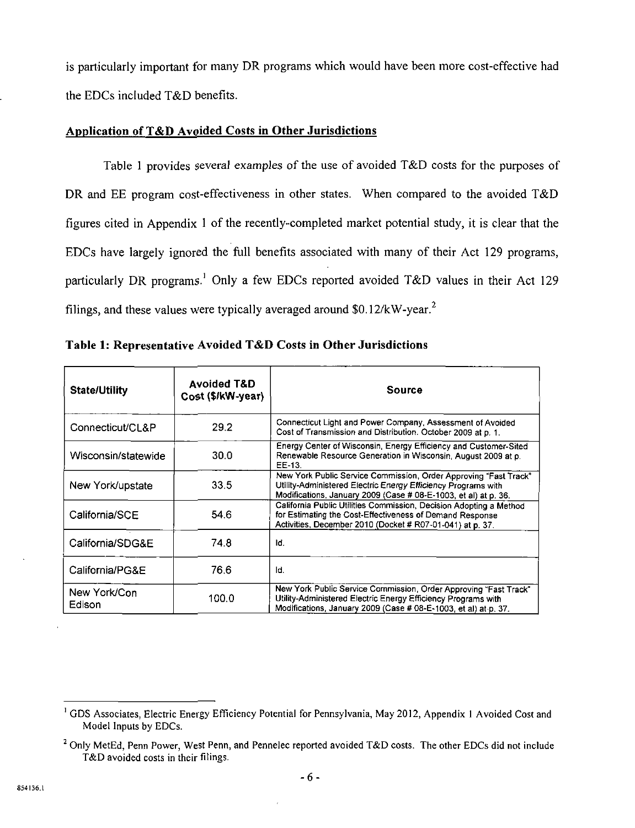is particularly important for many DR programs which would have been more cost-effective had the EDCs included T&D benefits.

#### **Application of T&D Avoided Costs in Other Jurisdictions**

Table 1 provides several examples of the use of avoided T&D costs for the purposes of DR and EE program cost-effectiveness in other states. When compared to the avoided T&D figures cited in Appendix 1 of the recently-completed market potential study, it is clear that the EDCs have largely ignored the full benefits associated with many of their Act 129 programs, particularly DR programs.<sup>1</sup> Only a few EDCs reported avoided T&D values in their Act 129 filings, and these values were typically averaged around \$0.12/kW-year.<sup>2</sup>

| <b>State/Utility</b>   | <b>Avoided T&amp;D</b><br>Cost (\$/kW-year) | Source                                                                                                                                                                                               |
|------------------------|---------------------------------------------|------------------------------------------------------------------------------------------------------------------------------------------------------------------------------------------------------|
| Connecticut/CL&P       | 29.2                                        | Connecticut Light and Power Company, Assessment of Avoided<br>Cost of Transmission and Distribution. October 2009 at p. 1.                                                                           |
| Wisconsin/statewide    | 30.0                                        | Energy Center of Wisconsin, Energy Efficiency and Customer-Sited<br>Renewable Resource Generation in Wisconsin, August 2009 at p.<br>EE-13.                                                          |
| New York/upstate       | 33.5                                        | New York Public Service Commission, Order Approving "Fast Track"<br>Utility-Administered Electric Energy Efficiency Programs with<br>Modifications, January 2009 (Case # 08-E-1003, et al) at p. 36. |
| California/SCE         | 54.6                                        | California Public Utilities Commission, Decision Adopting a Method<br>for Estimating the Cost-Effectiveness of Demand Response<br>Activities, December 2010 (Docket # R07-01-041) at p. 37.          |
| California/SDG&E       | 74.8                                        | ld.                                                                                                                                                                                                  |
| California/PG&E        | 76.6                                        | ld.                                                                                                                                                                                                  |
| New York/Con<br>Edison | 100.0                                       | New York Public Service Commission, Order Approving "Fast Track"<br>Utility-Administered Electric Energy Efficiency Programs with<br>Modifications, January 2009 (Case # 08-E-1003, et al) at p. 37. |

**Table 1: Representative Avoided T&D Costs in Other Jurisdictions** 

<sup>&</sup>lt;sup>1</sup> GDS Associates, Electric Energy Efficiency Potential for Pennsylvania, May 2012, Appendix 1 Avoided Cost and Model Inputs by EDCs.

 $^2$  Only MetEd, Penn Power, West Penn, and Pennelec reported avoided T&D costs. The other EDCs did not include T&D avoided costs in their filings.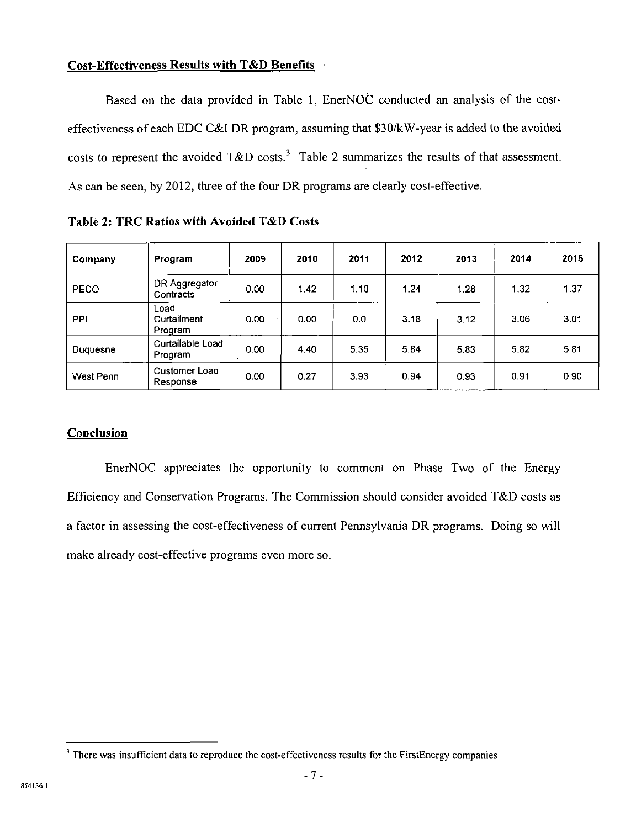#### **Cost-Effectiveness Results with T&D Benefits**

Based on the data provided in Table 1, EnerNOC conducted an analysis of the costeffectiveness of each EDC C&I DR program, assuming that \$30/kW-year is added to the avoided costs to represent the avoided  $T&D$  costs.<sup>3</sup> Table 2 summarizes the results of that assessment. As can be seen, by 2012, three of the four DR programs are clearly cost-effective.

**Company Program 2009 2010 2011 2012 2013 2014 2015**  PECO **DR Aggregator** Contracts 0.00 1.42 1.10 **1.24** 1.28 1.32 1.37 PPL Load **Curtailment** Proqram 0.00 | 0.00 | 0.0 | 3.18 | 3.12 | 3.06 | 3.01 Duquesne Curtailable Load<br>Program Program 0.00 **4.40** 5.35 **5.84** 5.83 5.82 5.81 West Penn Customer Load<br>Response Pusicimal Ecca | 0.00 | 0.27 | 3.93 | 0.94 | 0.93 | 0.91 | 0.90<br>Response

**Table 2: TRC Ratios with Avoided T&D Costs** 

#### **Conclusion**

EnerNOC appreciates the opportunity to comment on Phase Two of the Energy Efficiency and Conservation Programs. The Commission should consider avoided T&D costs as a factor in assessing the cost-effectiveness of current Pennsylvania DR programs. Doing so will make already cost-effective programs even more so.

<sup>&</sup>lt;sup>3</sup> There was insufficient data to reproduce the cost-effectiveness results for the FirstEnergy companies.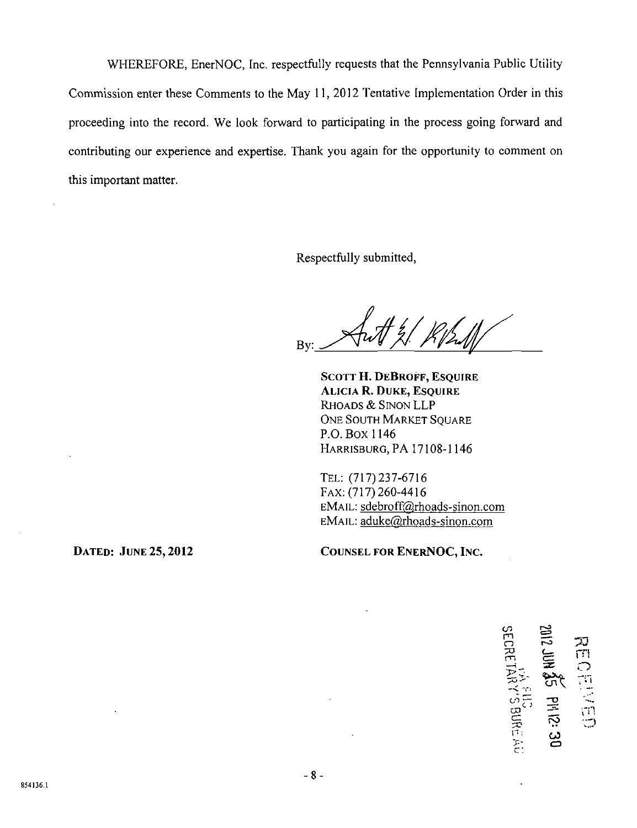WHEREFORE, EnerNOC, Inc. respectfully requests that the Pennsylvania Public Utility Commission enter these Comments to the May 11, 2012 Tentative Implementation Order in this proceeding into the record. We look forward to participating in the process going forward and contributing our experience and expertise. Thank you again for the opportunity to comment on this important matter.

Respectfully submitted,

Bv:

**SCOTT H. DEBROFF, ESQUIRE ALICIA R. DUKE, ESQUIRE**  RHOADS & SINON LLP ONE SOUTH MARKET SQUARE P.O. B0X1146 HARRISBURG, PA 17108-1146

TEL: (717)237-6716 FAX:(717)260-4416 EMAIL: sdebroff@rhoads-sinon.com EMAIL: aduke@rhoads-sinon.com

**DATED:** JUNE 25, 2012 **COUNSEL FOR ENERNOC, INC.** 

 $\tilde{\Xi}$  $\widetilde{\mathsf{L}}$ <u>ር።</u><br>ም c J  $\mathbf{r}$  $\tilde{}$  $\mathfrak{F}^{\mathfrak{F}}$  $\bm{\omega}$  . o  $\widetilde{\mathbb{E}}$  $\ddot{\bigcirc}$ r.)

c: